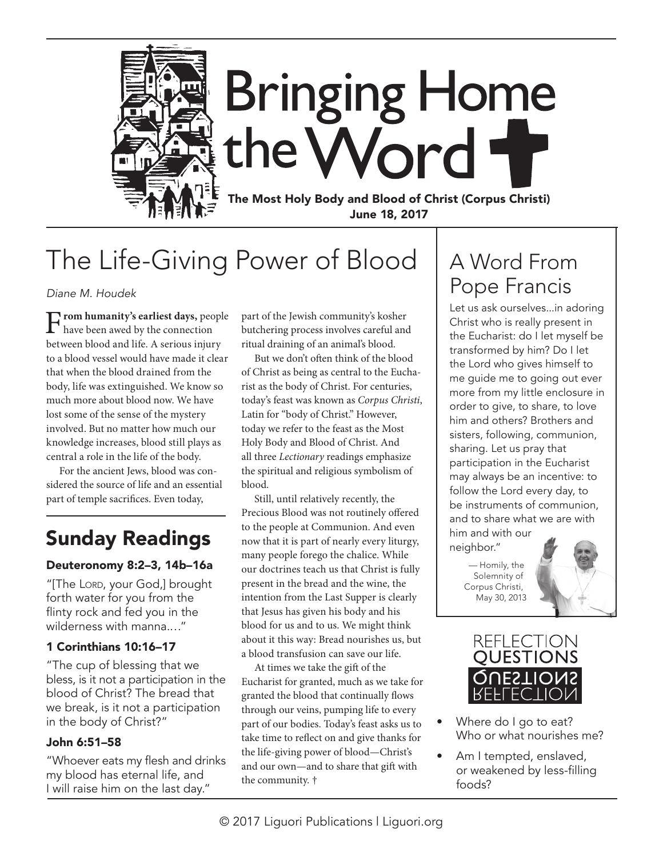

# **Bringing Home** the Word +

The Most Holy Body and Blood of Christ (Corpus Christi) June 18, 2017

# The Life-Giving Power of Blood

*Diane M. Houdek*

F**rom humanity's earliest days,** people have been awed by the connection between blood and life. A serious injury to a blood vessel would have made it clear that when the blood drained from the body, life was extinguished. We know so much more about blood now. We have lost some of the sense of the mystery involved. But no matter how much our knowledge increases, blood still plays as central a role in the life of the body.

For the ancient Jews, blood was considered the source of life and an essential part of temple sacrifices. Even today,

## Sunday Readings

#### Deuteronomy 8:2–3, 14b–16a

"[The Lord, your God,] brought forth water for you from the flinty rock and fed you in the wilderness with manna.…"

#### 1 Corinthians 10:16–17

"The cup of blessing that we bless, is it not a participation in the blood of Christ? The bread that we break, is it not a participation in the body of Christ?"

#### John 6:51–58

"Whoever eats my flesh and drinks my blood has eternal life, and I will raise him on the last day."

part of the Jewish community's kosher butchering process involves careful and ritual draining of an animal's blood.

But we don't often think of the blood of Christ as being as central to the Eucharist as the body of Christ. For centuries, today's feast was known as *Corpus Christi*, Latin for "body of Christ." However, today we refer to the feast as the Most Holy Body and Blood of Christ. And all three *Lectionary* readings emphasize the spiritual and religious symbolism of blood.

Still, until relatively recently, the Precious Blood was not routinely offered to the people at Communion. And even now that it is part of nearly every liturgy, many people forego the chalice. While our doctrines teach us that Christ is fully present in the bread and the wine, the intention from the Last Supper is clearly that Jesus has given his body and his blood for us and to us. We might think about it this way: Bread nourishes us, but a blood transfusion can save our life.

At times we take the gift of the Eucharist for granted, much as we take for granted the blood that continually flows through our veins, pumping life to every part of our bodies. Today's feast asks us to take time to reflect on and give thanks for the life-giving power of blood—Christ's and our own—and to share that gift with the community. †

## A Word From Pope Francis

Let us ask ourselves...in adoring Christ who is really present in the Eucharist: do I let myself be transformed by him? Do I let the Lord who gives himself to me guide me to going out ever more from my little enclosure in order to give, to share, to love him and others? Brothers and sisters, following, communion, sharing. Let us pray that participation in the Eucharist may always be an incentive: to follow the Lord every day, to be instruments of communion, and to share what we are with him and with our neighbor."

— Homily, the Solemnity of Corpus Christi, May 30, 2013





- Where do I go to eat? Who or what nourishes me?
- Am I tempted, enslaved, or weakened by less-filling foods?